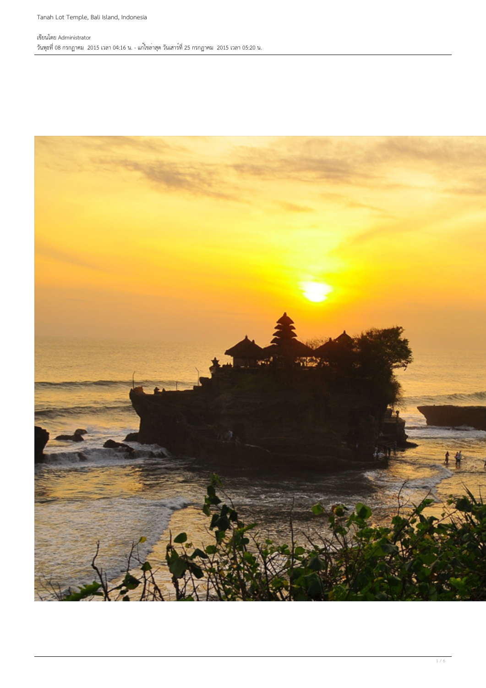#### เขียนโดย Administrator วันพุธที่ 08 กรกฏาคม 2015 เวลา 04:16 น. - แก้ไขล่าสุด วันเสาร์ที่ 25 กรกฏาคม 2015 เวลา 05:20 น.

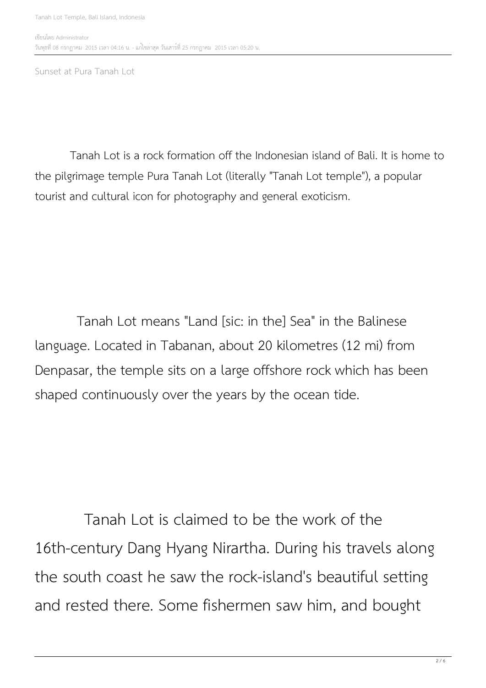Sunset at Pura Tanah Lot

 Tanah Lot is a rock formation off the Indonesian island of Bali. It is home to the pilgrimage temple Pura Tanah Lot (literally "Tanah Lot temple"), a popular tourist and cultural icon for photography and general exoticism.

 Tanah Lot means "Land [sic: in the] Sea" in the Balinese language. Located in Tabanan, about 20 kilometres (12 mi) from Denpasar, the temple sits on a large offshore rock which has been shaped continuously over the years by the ocean tide.

 Tanah Lot is claimed to be the work of the 16th-century Dang Hyang Nirartha. During his travels along the south coast he saw the rock-island's beautiful setting and rested there. Some fishermen saw him, and bought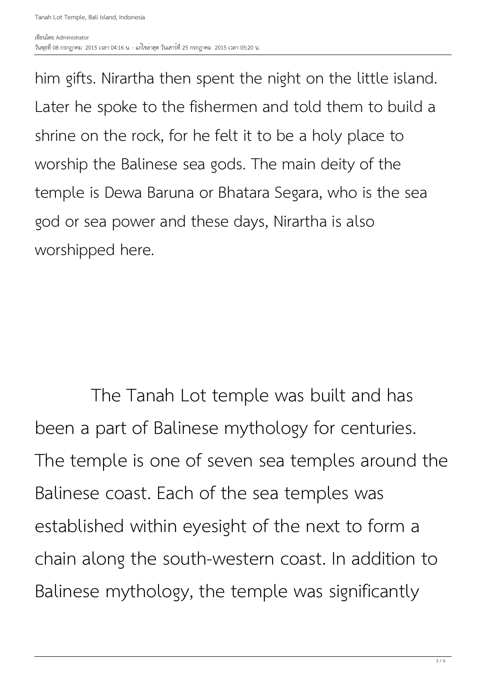him gifts. Nirartha then spent the night on the little island. Later he spoke to the fishermen and told them to build a shrine on the rock, for he felt it to be a holy place to worship the Balinese sea gods. The main deity of the temple is Dewa Baruna or Bhatara Segara, who is the sea god or sea power and these days, Nirartha is also worshipped here.

 The Tanah Lot temple was built and has been a part of Balinese mythology for centuries. The temple is one of seven sea temples around the Balinese coast. Each of the sea temples was established within eyesight of the next to form a chain along the south-western coast. In addition to Balinese mythology, the temple was significantly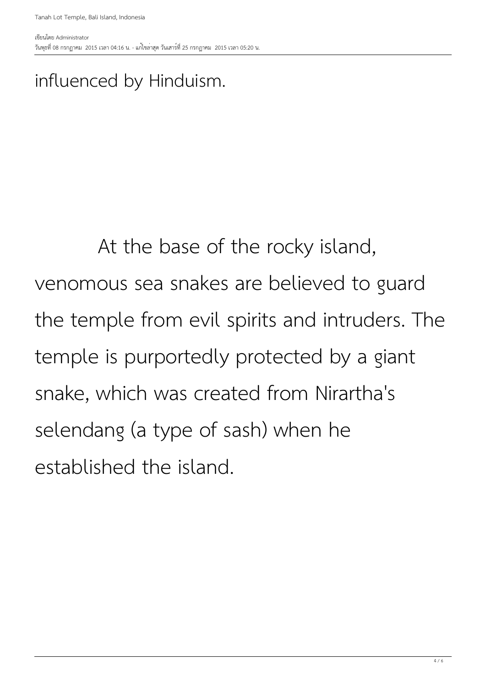### influenced by Hinduism.

# At the base of the rocky island, venomous sea snakes are believed to guard the temple from evil spirits and intruders. The temple is purportedly protected by a giant snake, which was created from Nirartha's selendang (a type of sash) when he established the island.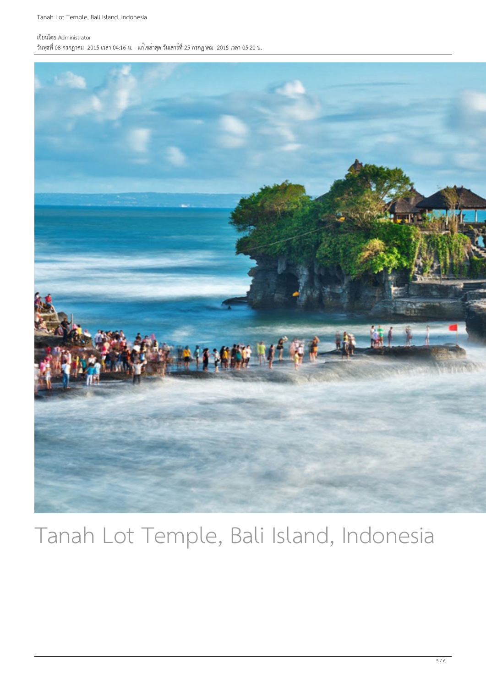Tanah Lot Temple, Bali Island, Indonesia

#### เขียนโดย Administrator

วันพุธที่ 08 กรกฏาคม 2015 เวลา 04:16 น. - แก้ไขล่าสุด วันเสาร์ที่ 25 กรกฏาคม 2015 เวลา 05:20 น.



### Tanah Lot Temple, Bali Island, Indonesia